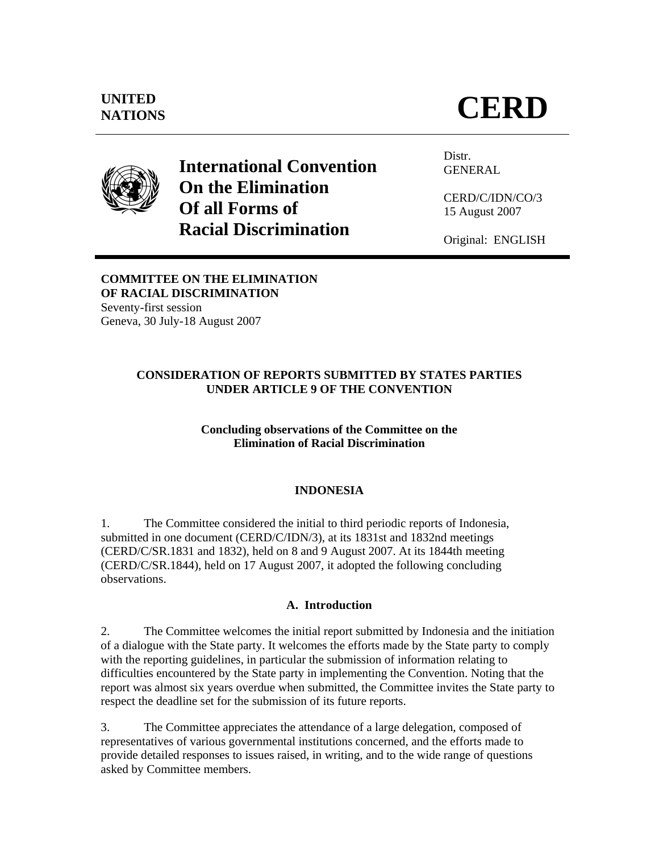

**International Convention On the Elimination Of all Forms of Racial Discrimination** 

Distr. GENERAL

CERD/C/IDN/CO/3 15 August 2007

Original: ENGLISH

# **COMMITTEE ON THE ELIMINATION OF RACIAL DISCRIMINATION**

Seventy-first session Geneva, 30 July-18 August 2007

# **CONSIDERATION OF REPORTS SUBMITTED BY STATES PARTIES UNDER ARTICLE 9 OF THE CONVENTION**

# **Concluding observations of the Committee on the Elimination of Racial Discrimination**

# **INDONESIA**

1. The Committee considered the initial to third periodic reports of Indonesia, submitted in one document (CERD/C/IDN/3), at its 1831st and 1832nd meetings (CERD/C/SR.1831 and 1832), held on 8 and 9 August 2007. At its 1844th meeting (CERD/C/SR.1844), held on 17 August 2007, it adopted the following concluding observations.

# **A. Introduction**

2. The Committee welcomes the initial report submitted by Indonesia and the initiation of a dialogue with the State party. It welcomes the efforts made by the State party to comply with the reporting guidelines, in particular the submission of information relating to difficulties encountered by the State party in implementing the Convention. Noting that the report was almost six years overdue when submitted, the Committee invites the State party to respect the deadline set for the submission of its future reports.

3. The Committee appreciates the attendance of a large delegation, composed of representatives of various governmental institutions concerned, and the efforts made to provide detailed responses to issues raised, in writing, and to the wide range of questions asked by Committee members.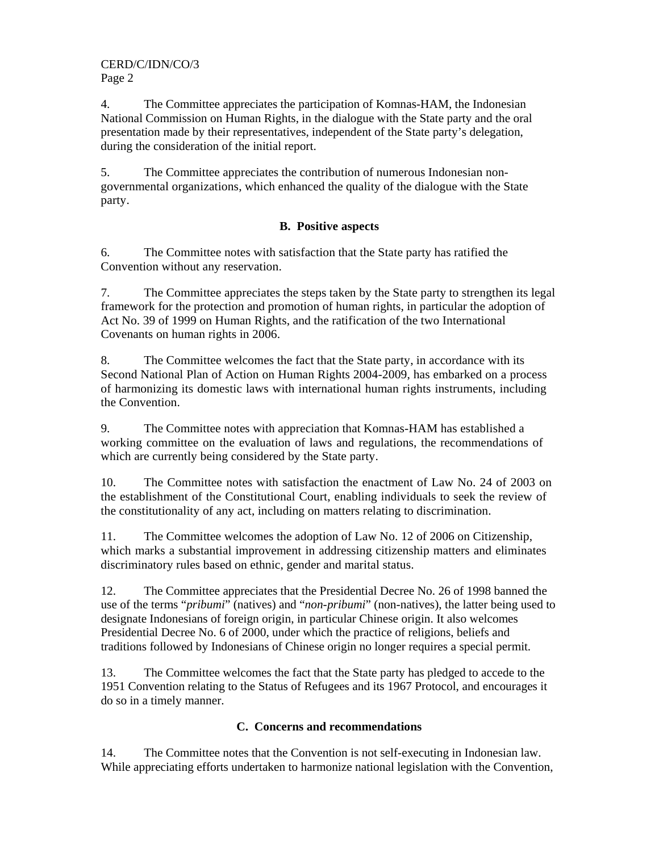CERD/C/IDN/CO/3 Page 2

4. The Committee appreciates the participation of Komnas-HAM, the Indonesian National Commission on Human Rights, in the dialogue with the State party and the oral presentation made by their representatives, independent of the State party's delegation, during the consideration of the initial report.

5. The Committee appreciates the contribution of numerous Indonesian nongovernmental organizations, which enhanced the quality of the dialogue with the State party.

# **B. Positive aspects**

6. The Committee notes with satisfaction that the State party has ratified the Convention without any reservation.

7. The Committee appreciates the steps taken by the State party to strengthen its legal framework for the protection and promotion of human rights, in particular the adoption of Act No. 39 of 1999 on Human Rights, and the ratification of the two International Covenants on human rights in 2006.

8. The Committee welcomes the fact that the State party, in accordance with its Second National Plan of Action on Human Rights 2004-2009, has embarked on a process of harmonizing its domestic laws with international human rights instruments, including the Convention.

9. The Committee notes with appreciation that Komnas-HAM has established a working committee on the evaluation of laws and regulations, the recommendations of which are currently being considered by the State party.

10. The Committee notes with satisfaction the enactment of Law No. 24 of 2003 on the establishment of the Constitutional Court, enabling individuals to seek the review of the constitutionality of any act, including on matters relating to discrimination.

11. The Committee welcomes the adoption of Law No. 12 of 2006 on Citizenship, which marks a substantial improvement in addressing citizenship matters and eliminates discriminatory rules based on ethnic, gender and marital status.

12. The Committee appreciates that the Presidential Decree No. 26 of 1998 banned the use of the terms "*pribumi*" (natives) and "*non-pribumi*" (non-natives), the latter being used to designate Indonesians of foreign origin, in particular Chinese origin. It also welcomes Presidential Decree No. 6 of 2000, under which the practice of religions, beliefs and traditions followed by Indonesians of Chinese origin no longer requires a special permit.

13. The Committee welcomes the fact that the State party has pledged to accede to the 1951 Convention relating to the Status of Refugees and its 1967 Protocol, and encourages it do so in a timely manner.

# **C. Concerns and recommendations**

14. The Committee notes that the Convention is not self-executing in Indonesian law. While appreciating efforts undertaken to harmonize national legislation with the Convention,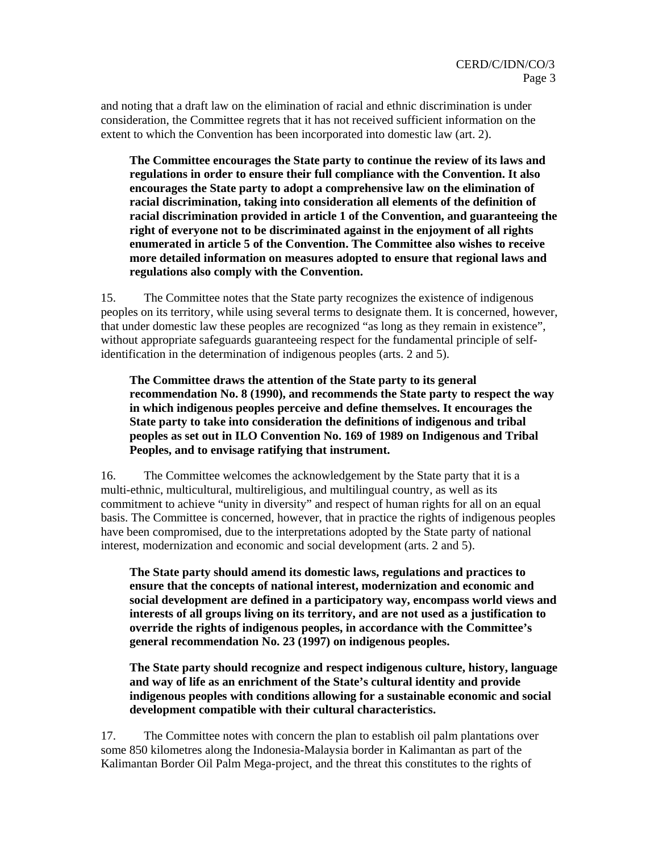and noting that a draft law on the elimination of racial and ethnic discrimination is under consideration, the Committee regrets that it has not received sufficient information on the extent to which the Convention has been incorporated into domestic law (art. 2).

**The Committee encourages the State party to continue the review of its laws and regulations in order to ensure their full compliance with the Convention. It also encourages the State party to adopt a comprehensive law on the elimination of racial discrimination, taking into consideration all elements of the definition of racial discrimination provided in article 1 of the Convention, and guaranteeing the right of everyone not to be discriminated against in the enjoyment of all rights enumerated in article 5 of the Convention. The Committee also wishes to receive more detailed information on measures adopted to ensure that regional laws and regulations also comply with the Convention.** 

15. The Committee notes that the State party recognizes the existence of indigenous peoples on its territory, while using several terms to designate them. It is concerned, however, that under domestic law these peoples are recognized "as long as they remain in existence", without appropriate safeguards guaranteeing respect for the fundamental principle of selfidentification in the determination of indigenous peoples (arts. 2 and 5).

**The Committee draws the attention of the State party to its general recommendation No. 8 (1990), and recommends the State party to respect the way in which indigenous peoples perceive and define themselves. It encourages the State party to take into consideration the definitions of indigenous and tribal peoples as set out in ILO Convention No. 169 of 1989 on Indigenous and Tribal Peoples, and to envisage ratifying that instrument.** 

16. The Committee welcomes the acknowledgement by the State party that it is a multi-ethnic, multicultural, multireligious, and multilingual country, as well as its commitment to achieve "unity in diversity" and respect of human rights for all on an equal basis. The Committee is concerned, however, that in practice the rights of indigenous peoples have been compromised, due to the interpretations adopted by the State party of national interest, modernization and economic and social development (arts. 2 and 5).

**The State party should amend its domestic laws, regulations and practices to ensure that the concepts of national interest, modernization and economic and social development are defined in a participatory way, encompass world views and interests of all groups living on its territory, and are not used as a justification to override the rights of indigenous peoples, in accordance with the Committee's general recommendation No. 23 (1997) on indigenous peoples.** 

**The State party should recognize and respect indigenous culture, history, language and way of life as an enrichment of the State's cultural identity and provide indigenous peoples with conditions allowing for a sustainable economic and social development compatible with their cultural characteristics.** 

17. The Committee notes with concern the plan to establish oil palm plantations over some 850 kilometres along the Indonesia-Malaysia border in Kalimantan as part of the Kalimantan Border Oil Palm Mega-project, and the threat this constitutes to the rights of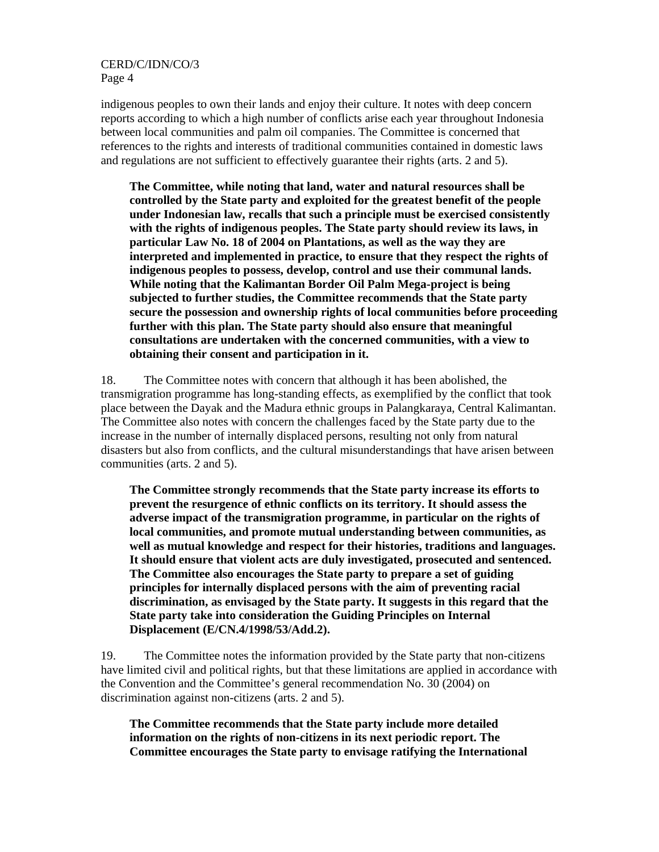CERD/C/IDN/CO/3 Page 4

indigenous peoples to own their lands and enjoy their culture. It notes with deep concern reports according to which a high number of conflicts arise each year throughout Indonesia between local communities and palm oil companies. The Committee is concerned that references to the rights and interests of traditional communities contained in domestic laws and regulations are not sufficient to effectively guarantee their rights (arts. 2 and 5).

**The Committee, while noting that land, water and natural resources shall be controlled by the State party and exploited for the greatest benefit of the people under Indonesian law, recalls that such a principle must be exercised consistently with the rights of indigenous peoples. The State party should review its laws, in particular Law No. 18 of 2004 on Plantations, as well as the way they are interpreted and implemented in practice, to ensure that they respect the rights of indigenous peoples to possess, develop, control and use their communal lands. While noting that the Kalimantan Border Oil Palm Mega-project is being subjected to further studies, the Committee recommends that the State party secure the possession and ownership rights of local communities before proceeding further with this plan. The State party should also ensure that meaningful consultations are undertaken with the concerned communities, with a view to obtaining their consent and participation in it.** 

18. The Committee notes with concern that although it has been abolished, the transmigration programme has long-standing effects, as exemplified by the conflict that took place between the Dayak and the Madura ethnic groups in Palangkaraya, Central Kalimantan. The Committee also notes with concern the challenges faced by the State party due to the increase in the number of internally displaced persons, resulting not only from natural disasters but also from conflicts, and the cultural misunderstandings that have arisen between communities (arts. 2 and 5).

**The Committee strongly recommends that the State party increase its efforts to prevent the resurgence of ethnic conflicts on its territory. It should assess the adverse impact of the transmigration programme, in particular on the rights of local communities, and promote mutual understanding between communities, as well as mutual knowledge and respect for their histories, traditions and languages. It should ensure that violent acts are duly investigated, prosecuted and sentenced. The Committee also encourages the State party to prepare a set of guiding principles for internally displaced persons with the aim of preventing racial discrimination, as envisaged by the State party. It suggests in this regard that the State party take into consideration the Guiding Principles on Internal Displacement (E/CN.4/1998/53/Add.2).**

19. The Committee notes the information provided by the State party that non-citizens have limited civil and political rights, but that these limitations are applied in accordance with the Convention and the Committee's general recommendation No. 30 (2004) on discrimination against non-citizens (arts. 2 and 5).

**The Committee recommends that the State party include more detailed information on the rights of non-citizens in its next periodic report. The Committee encourages the State party to envisage ratifying the International**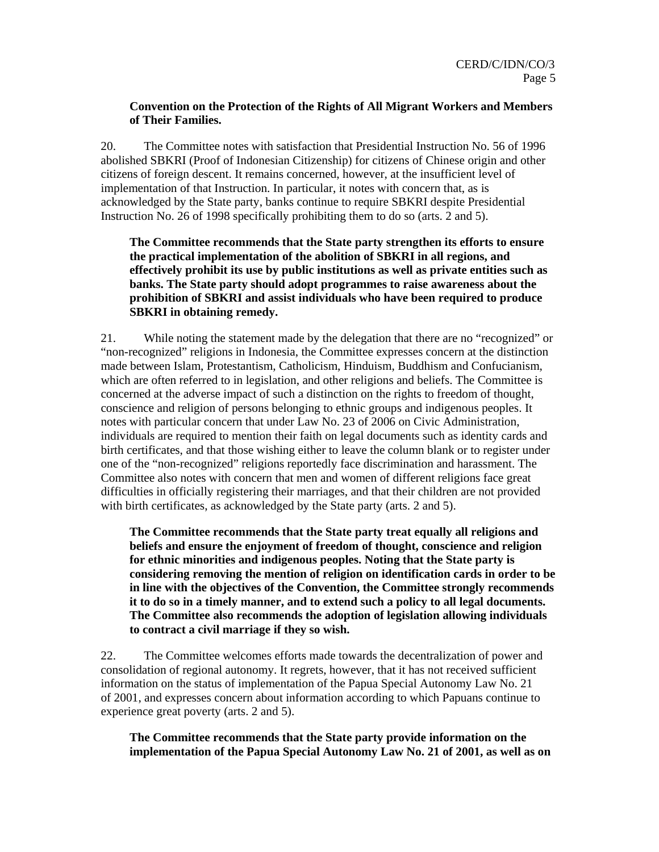#### **Convention on the Protection of the Rights of All Migrant Workers and Members of Their Families.**

20. The Committee notes with satisfaction that Presidential Instruction No. 56 of 1996 abolished SBKRI (Proof of Indonesian Citizenship) for citizens of Chinese origin and other citizens of foreign descent. It remains concerned, however, at the insufficient level of implementation of that Instruction. In particular, it notes with concern that, as is acknowledged by the State party, banks continue to require SBKRI despite Presidential Instruction No. 26 of 1998 specifically prohibiting them to do so (arts. 2 and 5).

**The Committee recommends that the State party strengthen its efforts to ensure the practical implementation of the abolition of SBKRI in all regions, and effectively prohibit its use by public institutions as well as private entities such as banks. The State party should adopt programmes to raise awareness about the prohibition of SBKRI and assist individuals who have been required to produce SBKRI in obtaining remedy.** 

21. While noting the statement made by the delegation that there are no "recognized" or "non-recognized" religions in Indonesia, the Committee expresses concern at the distinction made between Islam, Protestantism, Catholicism, Hinduism, Buddhism and Confucianism, which are often referred to in legislation, and other religions and beliefs. The Committee is concerned at the adverse impact of such a distinction on the rights to freedom of thought, conscience and religion of persons belonging to ethnic groups and indigenous peoples. It notes with particular concern that under Law No. 23 of 2006 on Civic Administration, individuals are required to mention their faith on legal documents such as identity cards and birth certificates, and that those wishing either to leave the column blank or to register under one of the "non-recognized" religions reportedly face discrimination and harassment. The Committee also notes with concern that men and women of different religions face great difficulties in officially registering their marriages, and that their children are not provided with birth certificates, as acknowledged by the State party (arts. 2 and 5).

**The Committee recommends that the State party treat equally all religions and beliefs and ensure the enjoyment of freedom of thought, conscience and religion for ethnic minorities and indigenous peoples. Noting that the State party is considering removing the mention of religion on identification cards in order to be in line with the objectives of the Convention, the Committee strongly recommends it to do so in a timely manner, and to extend such a policy to all legal documents. The Committee also recommends the adoption of legislation allowing individuals to contract a civil marriage if they so wish.** 

22. The Committee welcomes efforts made towards the decentralization of power and consolidation of regional autonomy. It regrets, however, that it has not received sufficient information on the status of implementation of the Papua Special Autonomy Law No. 21 of 2001, and expresses concern about information according to which Papuans continue to experience great poverty (arts. 2 and 5).

**The Committee recommends that the State party provide information on the implementation of the Papua Special Autonomy Law No. 21 of 2001, as well as on**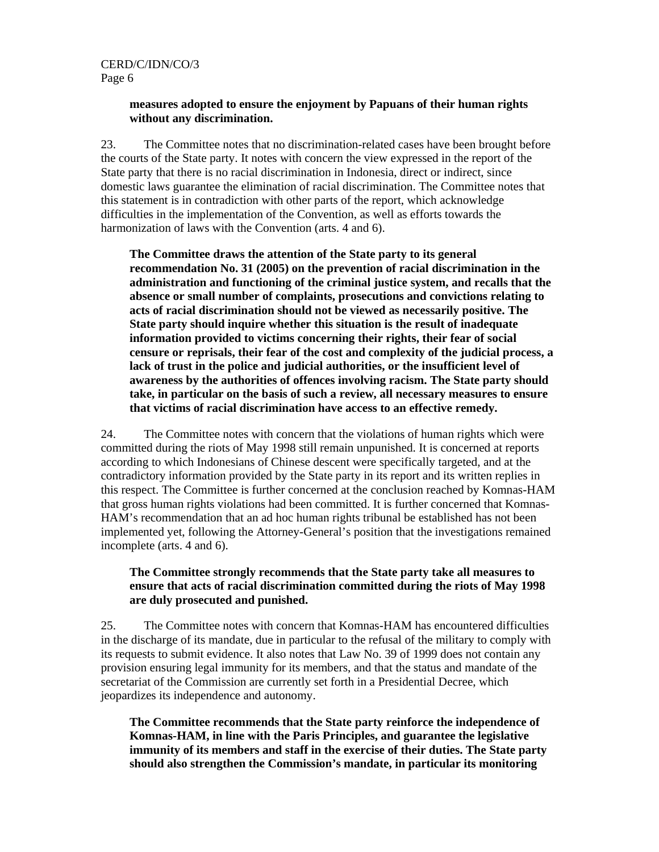CERD/C/IDN/CO/3 Page 6

#### **measures adopted to ensure the enjoyment by Papuans of their human rights without any discrimination.**

23. The Committee notes that no discrimination-related cases have been brought before the courts of the State party. It notes with concern the view expressed in the report of the State party that there is no racial discrimination in Indonesia, direct or indirect, since domestic laws guarantee the elimination of racial discrimination. The Committee notes that this statement is in contradiction with other parts of the report, which acknowledge difficulties in the implementation of the Convention, as well as efforts towards the harmonization of laws with the Convention (arts. 4 and 6).

**The Committee draws the attention of the State party to its general recommendation No. 31 (2005) on the prevention of racial discrimination in the administration and functioning of the criminal justice system, and recalls that the absence or small number of complaints, prosecutions and convictions relating to acts of racial discrimination should not be viewed as necessarily positive. The State party should inquire whether this situation is the result of inadequate information provided to victims concerning their rights, their fear of social censure or reprisals, their fear of the cost and complexity of the judicial process, a lack of trust in the police and judicial authorities, or the insufficient level of awareness by the authorities of offences involving racism. The State party should take, in particular on the basis of such a review, all necessary measures to ensure that victims of racial discrimination have access to an effective remedy.** 

24. The Committee notes with concern that the violations of human rights which were committed during the riots of May 1998 still remain unpunished. It is concerned at reports according to which Indonesians of Chinese descent were specifically targeted, and at the contradictory information provided by the State party in its report and its written replies in this respect. The Committee is further concerned at the conclusion reached by Komnas-HAM that gross human rights violations had been committed. It is further concerned that Komnas-HAM's recommendation that an ad hoc human rights tribunal be established has not been implemented yet, following the Attorney-General's position that the investigations remained incomplete (arts. 4 and 6).

#### **The Committee strongly recommends that the State party take all measures to ensure that acts of racial discrimination committed during the riots of May 1998 are duly prosecuted and punished.**

25. The Committee notes with concern that Komnas-HAM has encountered difficulties in the discharge of its mandate, due in particular to the refusal of the military to comply with its requests to submit evidence. It also notes that Law No. 39 of 1999 does not contain any provision ensuring legal immunity for its members, and that the status and mandate of the secretariat of the Commission are currently set forth in a Presidential Decree, which jeopardizes its independence and autonomy.

**The Committee recommends that the State party reinforce the independence of Komnas-HAM, in line with the Paris Principles, and guarantee the legislative immunity of its members and staff in the exercise of their duties. The State party should also strengthen the Commission's mandate, in particular its monitoring**